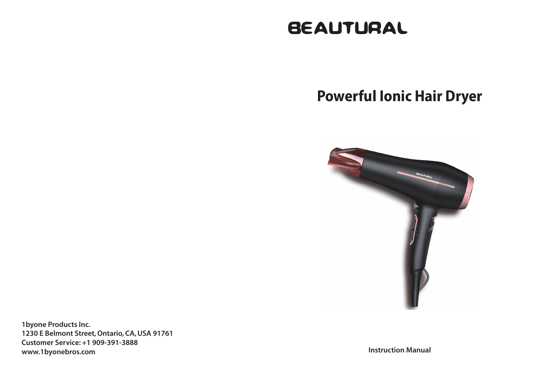# **BEAUTURAL**

# **Powerful Ionic Hair Dryer**



1byone Products Inc. 1230 E Belmont Street, Ontario, CA, USA 91761 Customer Service: +1 909-391-3888 www.1byonebros.com

Instruction Manual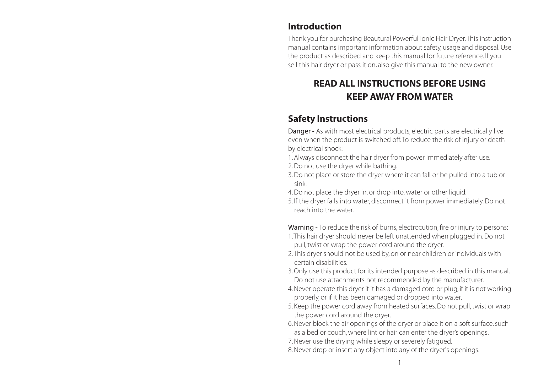#### Introduction

Thank you for purchasing Beautural Powerful Ionic Hair Dryer. This instruction manual contains important information about safety, usage and disposal. Use the product as described and keep this manual for future reference. If you sell this hair dryer or pass it on, also give this manual to the new owner.

### READ ALL INSTRUCTIONS BEFORE USING KEEP AWAY FROM WATER

#### Safety Instructions

Danger - As with most electrical products, electric parts are electrically live even when the product is switched off. To reduce the risk of injury or death by electrical shock:

- 1. Always disconnect the hair dryer from power immediately after use.
- 2. Do not use the dryer while bathing.
- 3. Do not place or store the dryer where it can fall or be pulled into a tub or sink.
- 4. Do not place the dryer in, or drop into, water or other liquid.
- 5. If the dryer falls into water, disconnect it from power immediately. Do not reach into the water.

Warning - To reduce the risk of burns, electrocution, fire or injury to persons:

- 1. This hair dryer should never be left unattended when plugged in. Do not pull, twist or wrap the power cord around the dryer.
- 2. This dryer should not be used by, on or near children or individuals with certain disabilities.
- 3. Only use this product for its intended purpose as described in this manual. Do not use attachments not recommended by the manufacturer.
- 4. Never operate this dryer if it has a damaged cord or plug, if it is not working properly, or if it has been damaged or dropped into water.
- 5. Keep the power cord away from heated surfaces. Do not pull, twist or wrap the power cord around the dryer.
- 6. Never block the air openings of the dryer or place it on a soft surface, such as a bed or couch, where lint or hair can enter the dryer's openings.
- 7. Never use the drying while sleepy or severely fatigued.
- 8. Never drop or insert any object into any of the dryer's openings.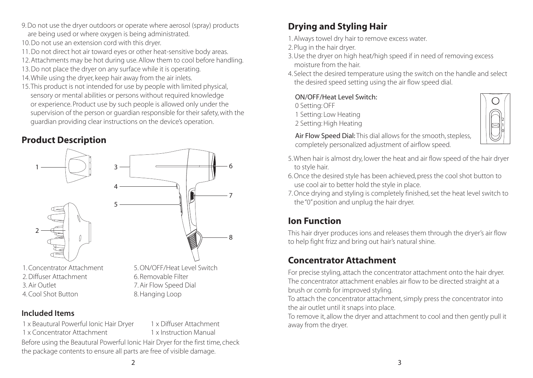- 9. Do not use the dryer outdoors or operate where aerosol (spray) products are being used or where oxygen is being administrated.
- 10. Do not use an extension cord with this dryer.
- 11. Do not direct hot air toward eyes or other heat-sensitive body areas.
- 12. Attachments may be hot during use. Allow them to cool before handling.
- 13. Do not place the dryer on any surface while it is operating.
- 14. While using the dryer, keep hair away from the air inlets.
- 15. This product is not intended for use by people with limited physical, sensory or mental abilities or persons without required knowledge or experience. Product use by such people is allowed only under the supervision of the person or guardian responsible for their safety, with the guardian providing clear instructions on the device's operation.

### Product Description



#### Included Items

1 x Beautural Powerful Ionic Hair Dryer 1 x Concentrator Attachment

1 x Diffuser Attachment 1 x Instruction Manual

Before using the Beautural Powerful Ionic Hair Dryer for the first time, check the package contents to ensure all parts are free of visible damage.

### Drying and Styling Hair

- 1. Always towel dry hair to remove excess water.
- 2. Plug in the hair dryer.
- 3. Use the dryer on high heat/high speed if in need of removing excess moisture from the hair.
- 4. Select the desired temperature using the switch on the handle and select the desired speed setting using the air flow speed dial.

#### ON/OFF/Heat Level Switch:

0 Setting: OFF

- 1 Setting: Low Heating
- 2 Setting: High Heating



- Air Flow Speed Dial: This dial allows for the smooth, stepless, completely personalized adjustment of airflow speed.
- 5. When hair is almost dry, lower the heat and air flow speed of the hair dryer to style hair.
- 6. Once the desired style has been achieved, press the cool shot button to use cool air to better hold the style in place.
- 7. Once drying and styling is completely finished, set the heat level switch to the "0" position and unplug the hair dryer.

### Ion Function

This hair dryer produces ions and releases them through the dryer's air flow to help fight frizz and bring out hair's natural shine.

## Concentrator Attachment

For precise styling, attach the concentrator attachment onto the hair dryer. The concentrator attachment enables air flow to be directed straight at a brush or comb for improved styling.

To attach the concentrator attachment, simply press the concentrator into the air outlet until it snaps into place.

To remove it, allow the dryer and attachment to cool and then gently pull it away from the dryer.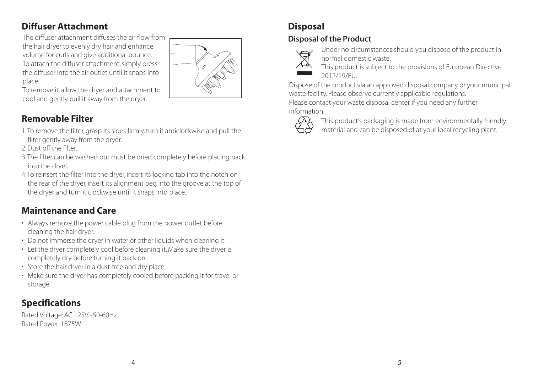### Diffuser Attachment

The diffuser attachment diffuses the air flow from the hair dryer to evenly dry hair and enhance volume for curls and give additional bounce. To attach the diffuser attachment, simply press the diffuser into the air outlet until it snaps into place.



To remove it, allow the dryer and attachment to cool and gently pull it away from the dryer.

### Removable Filter

- 1. To remove the filter, grasp its sides firmly, turn it anticlockwise and pull the filter gently away from the dryer.
- 2. Dust off the filter.
- 3. The filter can be washed but must be dried completely before placing back into the dryer.
- 4. To reinsert the filter into the dryer, insert its locking tab into the notch on the rear of the dryer, insert its alignment peg into the groove at the top of the dryer and turn it clockwise until it snaps into place.

## Maintenance and Care

- Always remove the power cable plug from the power outlet before cleaning the hair dryer.
- Do not immerse the dryer in water or other liquids when cleaning it.
- Let the dryer completely cool before cleaning it. Make sure the dryer is completely dry before turning it back on.
- Store the hair dryer in a dust-free and dry place.
- Make sure the dryer has completely cooled before packing it for travel or storage.

## Specifications

Rated Voltage: AC 125V~50-60Hz Rated Power: 1875W

## Disposal

#### Disposal of the Product



- Under no circumstances should you dispose of the product in normal domestic waste.
- This product is subject to the provisions of European Directive 2012/19/EU.

Dispose of the product via an approved disposal company or your municipal waste facility. Please observe currently applicable regulations. Please contact your waste disposal center if you need any further information.



This product's packaging is made from environmentally friendly material and can be disposed of at your local recycling plant.